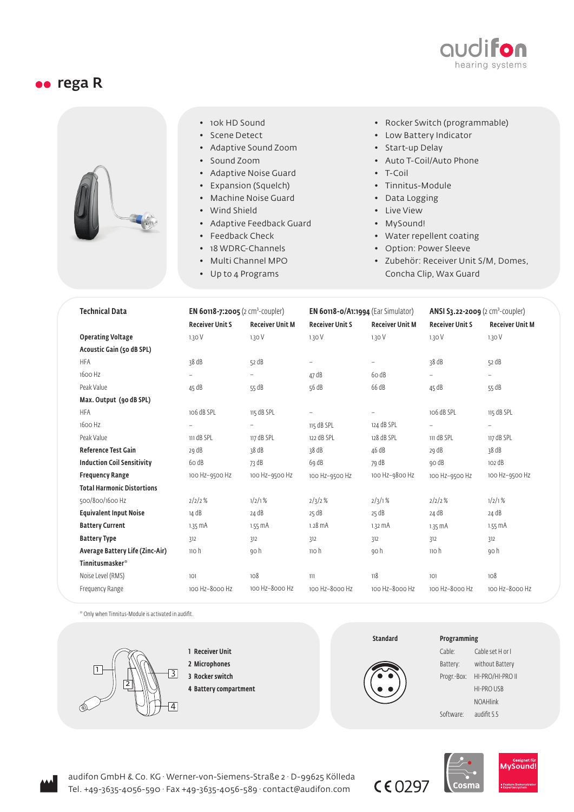

## oo rega R



- 10k HD Sound
- Scene Detect
- Adaptive Sound Zoom
- Sound Zoom
- Adaptive Noise Guard
- Expansion (Squelch)
- Machine Noise Guard
- Wind Shield
- Adaptive Feedback Guard
- Feedback Check
- 18 WDRC-Channels
- Multi Channel MPO
- Up to 4 Programs
- Rocker Switch (programmable)
- Low Battery Indicator
- Start-up Delay
- Auto T-Coil/Auto Phone
- T-Coil
- Tinnitus-Module
- Data Logging
- Live View
- MySound!
- Water repellent coating
- Option: Power Sleeve
- Zubehör: Receiver Unit S/M, Domes, Concha Clip, Wax Guard

| <b>Technical Data</b>             | <b>EN 60118-7:2005</b> (2 cm <sup>3</sup> -coupler) |                          | <b>EN 60118-0/A1:1994</b> (Ear Simulator) |                        | <b>ANSI S3.22-2009</b> ( $2 \text{ cm}^3$ -coupler) |                          |
|-----------------------------------|-----------------------------------------------------|--------------------------|-------------------------------------------|------------------------|-----------------------------------------------------|--------------------------|
|                                   | <b>Receiver Unit S</b>                              | <b>Receiver Unit M</b>   | <b>Receiver Unit S</b>                    | <b>Receiver Unit M</b> | <b>Receiver Unit S</b>                              | <b>Receiver Unit M</b>   |
| <b>Operating Voltage</b>          | 1.30V                                               | 1.30V                    | 1.30 V                                    | 1.30 V                 | 1.30 V                                              | 1.30V                    |
| Acoustic Gain (50 dB SPL)         |                                                     |                          |                                           |                        |                                                     |                          |
| <b>HFA</b>                        | 38 dB                                               | 52 dB                    | Ξ.                                        | $\overline{a}$         | 38 dB                                               | 52 dB                    |
| 1600 Hz                           | $\overline{\phantom{0}}$                            | Ξ.                       | 47 dB                                     | 60dB                   | $\overline{\phantom{0}}$                            |                          |
| Peak Value                        | 45 dB                                               | 55 dB                    | 56 dB                                     | 66 dB                  | 45 dB                                               | 55 dB                    |
| Max. Output (90 dB SPL)           |                                                     |                          |                                           |                        |                                                     |                          |
| <b>HFA</b>                        | 106 dB SPL                                          | 115 dB SPL               | $\qquad \qquad -$                         | $\qquad \qquad -$      | 106 dB SPL                                          | 115 dB SPL               |
| 1600 Hz                           | $\overline{\phantom{a}}$                            | $\overline{\phantom{0}}$ | 115 dB SPL                                | 124 dB SPL             | $\qquad \qquad -$                                   | $\overline{\phantom{a}}$ |
| Peak Value                        | 111 dB SPL                                          | 117 dB SPL               | 122 dB SPL                                | 128 dB SPL             | 111 dB SPL                                          | 117 dB SPL               |
| <b>Reference Test Gain</b>        | 29 dB                                               | 38 dB                    | 38 dB                                     | 46 dB                  | 29 dB                                               | 38 dB                    |
| <b>Induction Coil Sensitivity</b> | 60 dB                                               | 73 dB                    | 69 dB                                     | 79 dB                  | go dB                                               | 102 dB                   |
| <b>Frequency Range</b>            | 100 Hz-9500 Hz                                      | 100 Hz-9500 Hz           | 100 Hz-9500 Hz                            | 100 Hz-9800 Hz         | 100 Hz-9500 Hz                                      | 100 Hz-9500 Hz           |
| <b>Total Harmonic Distortions</b> |                                                     |                          |                                           |                        |                                                     |                          |
| 500/800/1600 Hz                   | 2/2/2%                                              | 1/2/1%                   | 2/3/2%                                    | 2/3/1%                 | 2/2/2%                                              | 1/2/1%                   |
| <b>Equivalent Input Noise</b>     | 14 dB                                               | 24 dB                    | 25 dB                                     | 25 dB                  | 24 dB                                               | 24 dB                    |
| <b>Battery Current</b>            | $1.35 \text{ mA}$                                   | $1.55 \, \text{mA}$      | $1.28$ $mA$                               | 1.32 MA                | $1.35 \text{ mA}$                                   | $1.55 \text{ mA}$        |
| <b>Battery Type</b>               | 312                                                 | 312                      | 312                                       | 312                    | 312                                                 | 312                      |
| Average Battery Life (Zinc-Air)   | 110h                                                | go h                     | $\mathfrak n$ oh                          | go h                   | 110h                                                | . go h                   |
| Tinnitusmasker <sup>®</sup>       |                                                     |                          |                                           |                        |                                                     |                          |
| Noise Level (RMS)                 | 101                                                 | 108                      | 111                                       | 118                    | 101                                                 | 108                      |
| Frequency Range                   | 100 Hz-8000 Hz                                      | 100 Hz-8000 Hz           | 100 Hz-8000 Hz                            | 100 Hz-8000 Hz         | 100 Hz-8000 Hz                                      | 100 Hz-8000 Hz           |

\* Only when Tinnitus-Module is activated in audifit.



- 1 Receiver Unit
- 2 Microphones
- 3 Rocker switch
- 4 Battery compartment



## Programming







audifon GmbH & Co. KG · Werner-von-Siemens-Straße 2 · D-99625 Kölleda Tel. +49-3635-4056-590 · Fax +49-3635-4056-589 · contact@audifon.com

 $C E$  0297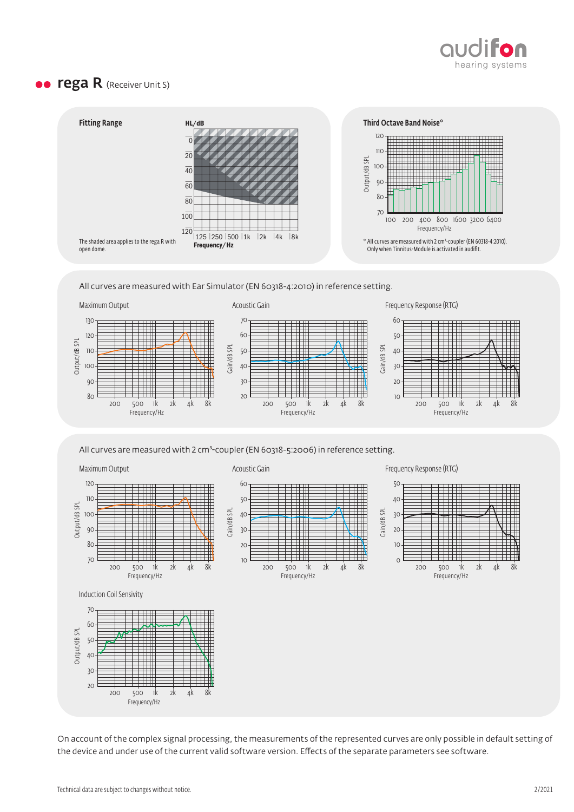

## **• rega R** (Receiver Unit S)



All curves are measured with Ear Simulator (EN 60318-4:2010) in reference setting.



All curves are measured with 2 cm<sup>3</sup>-coupler (EN 60318-5:2006) in reference setting.

Maximum Output



Gain/dB SPL

Gain/dB SPL







Induction Coil Sensivity



On account of the complex signal processing, the measurements of the represented curves are only possible in default setting of the device and under use of the current valid software version. Effects of the separate parameters see software.